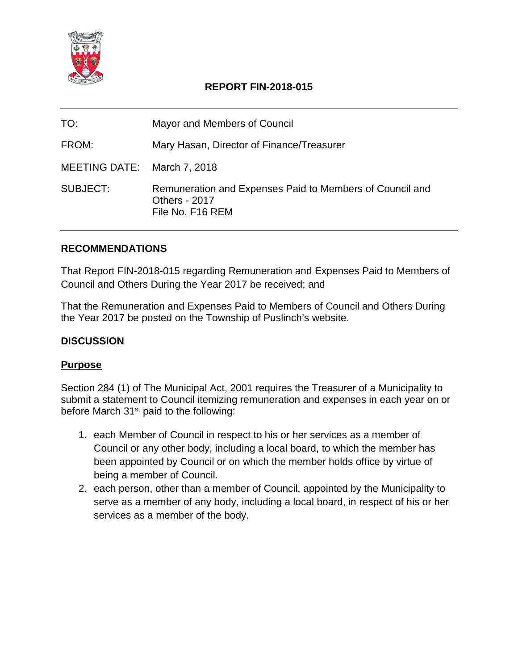

## **REPORT FIN-2018-015**

| TO:                         | Mayor and Members of Council                                                                         |
|-----------------------------|------------------------------------------------------------------------------------------------------|
| FROM:                       | Mary Hasan, Director of Finance/Treasurer                                                            |
| MEETING DATE: March 7, 2018 |                                                                                                      |
| SUBJECT:                    | Remuneration and Expenses Paid to Members of Council and<br><b>Others - 2017</b><br>File No. F16 REM |

#### **RECOMMENDATIONS**

That Report FIN-2018-015 regarding Remuneration and Expenses Paid to Members of Council and Others During the Year 2017 be received; and

That the Remuneration and Expenses Paid to Members of Council and Others During the Year 2017 be posted on the Township of Puslinch's website.

## **DISCUSSION**

#### **Purpose**

Section 284 (1) of The Municipal Act, 2001 requires the Treasurer of a Municipality to submit a statement to Council itemizing remuneration and expenses in each year on or before March 31<sup>st</sup> paid to the following:

- 1. each Member of Council in respect to his or her services as a member of Council or any other body, including a local board, to which the member has been appointed by Council or on which the member holds office by virtue of being a member of Council.
- 2. each person, other than a member of Council, appointed by the Municipality to serve as a member of any body, including a local board, in respect of his or her services as a member of the body.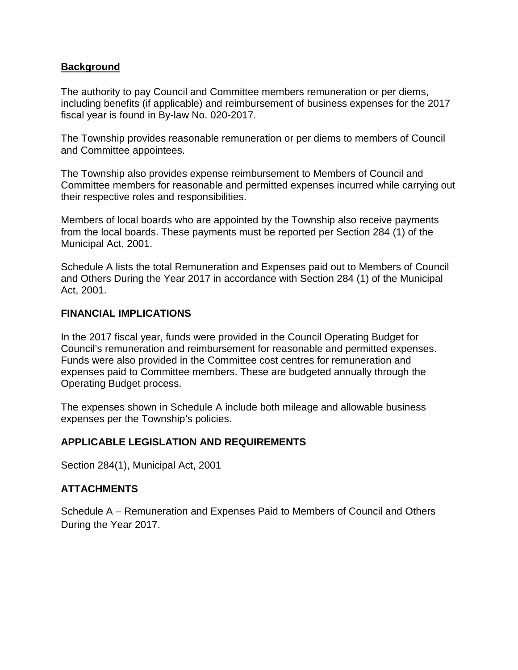#### **Background**

The authority to pay Council and Committee members remuneration or per diems, including benefits (if applicable) and reimbursement of business expenses for the 2017 fiscal year is found in By-law No. 020-2017.

The Township provides reasonable remuneration or per diems to members of Council and Committee appointees.

The Township also provides expense reimbursement to Members of Council and Committee members for reasonable and permitted expenses incurred while carrying out their respective roles and responsibilities.

Members of local boards who are appointed by the Township also receive payments from the local boards. These payments must be reported per Section 284 (1) of the Municipal Act, 2001.

Schedule A lists the total Remuneration and Expenses paid out to Members of Council and Others During the Year 2017 in accordance with Section 284 (1) of the Municipal Act, 2001.

#### **FINANCIAL IMPLICATIONS**

In the 2017 fiscal year, funds were provided in the Council Operating Budget for Council's remuneration and reimbursement for reasonable and permitted expenses. Funds were also provided in the Committee cost centres for remuneration and expenses paid to Committee members. These are budgeted annually through the Operating Budget process.

The expenses shown in Schedule A include both mileage and allowable business expenses per the Township's policies.

## **APPLICABLE LEGISLATION AND REQUIREMENTS**

Section 284(1), Municipal Act, 2001

#### **ATTACHMENTS**

Schedule A – Remuneration and Expenses Paid to Members of Council and Others During the Year 2017.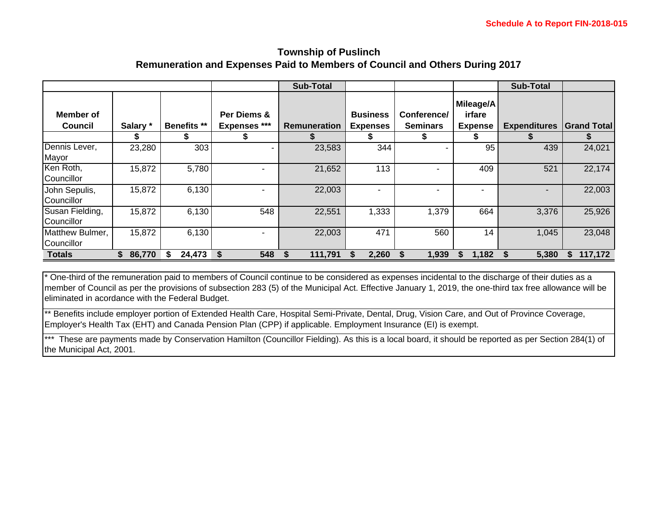#### **Township of Puslinch Remuneration and Expenses Paid to Members of Council and Others During 2017**

|                               |          |                    |                                         | <b>Sub-Total</b>    |                                         |                                |                                            | <b>Sub-Total</b>    |                    |
|-------------------------------|----------|--------------------|-----------------------------------------|---------------------|-----------------------------------------|--------------------------------|--------------------------------------------|---------------------|--------------------|
| Member of<br><b>Council</b>   | Salary * | <b>Benefits **</b> | Per Diems &<br><b>Expenses ***</b><br>æ | <b>Remuneration</b> | <b>Business</b><br><b>Expenses</b><br>ъ | Conference/<br><b>Seminars</b> | Mileage/A<br>irfare<br><b>Expense</b><br>ъ | <b>Expenditures</b> | <b>Grand Total</b> |
| Dennis Lever,<br>Mayor        | 23,280   | 303                | ۰                                       | 23,583              | 344                                     |                                | 95                                         | 439                 | 24,021             |
| Ken Roth,<br>Councillor       | 15,872   | 5,780              |                                         | 21,652              | 113                                     |                                | 409                                        | 521                 | 22,174             |
| John Sepulis,<br>Councillor   | 15,872   | 6,130              |                                         | 22,003              |                                         |                                |                                            |                     | 22,003             |
| Susan Fielding,<br>Councillor | 15,872   | 6,130              | 548                                     | 22,551              | 1,333                                   | 1,379                          | 664                                        | 3,376               | 25,926             |
| Matthew Bulmer,<br>Councillor | 15,872   | 6,130              |                                         | 22,003              | 471                                     | 560                            | 14                                         | 1,045               | 23,048             |
| <b>Totals</b>                 | 86,770   | 24,473             | 548<br>S                                | 111,791             | 2,260                                   | 1,939                          | 1,182                                      | 5,380               | 117,172<br>S.      |

\* One-third of the remuneration paid to members of Council continue to be considered as expenses incidental to the discharge of their duties as a member of Council as per the provisions of subsection 283 (5) of the Municipal Act. Effective January 1, 2019, the one-third tax free allowance will be eliminated in acordance with the Federal Budget.

\*\* Benefits include employer portion of Extended Health Care, Hospital Semi-Private, Dental, Drug, Vision Care, and Out of Province Coverage, Employer's Health Tax (EHT) and Canada Pension Plan (CPP) if applicable. Employment Insurance (EI) is exempt.

\*\*\* These are payments made by Conservation Hamilton (Councillor Fielding). As this is a local board, it should be reported as per Section 284(1) of the Municipal Act, 2001.